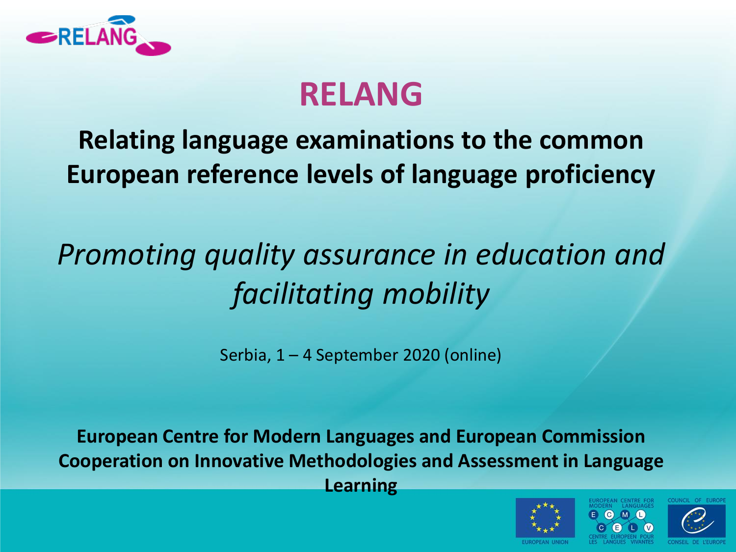

# **RELANG**

#### **Relating language examinations to the common European reference levels of language proficiency**

# *Promoting quality assurance in education and facilitating mobility*

Serbia, 1 – 4 September 2020 (online)

**European Centre for Modern Languages and European Commission Cooperation on Innovative Methodologies and Assessment in Language Learning** 



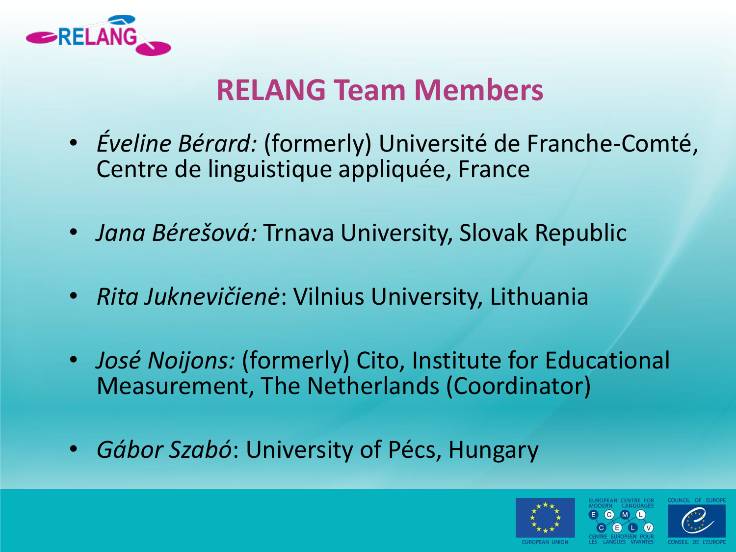

#### **RELANG Team Members**

- *Éveline Bérard:* (formerly) Université de Franche-Comté, Centre de linguistique appliquée, France
- *Jana Bérešová:* Trnava University, Slovak Republic
- *Rita Juknevičienė*: Vilnius University, Lithuania
- *José Noijons:* (formerly) Cito, Institute for Educational Measurement, The Netherlands (Coordinator)
- *Gábor Szabó*: University of Pécs, Hungary

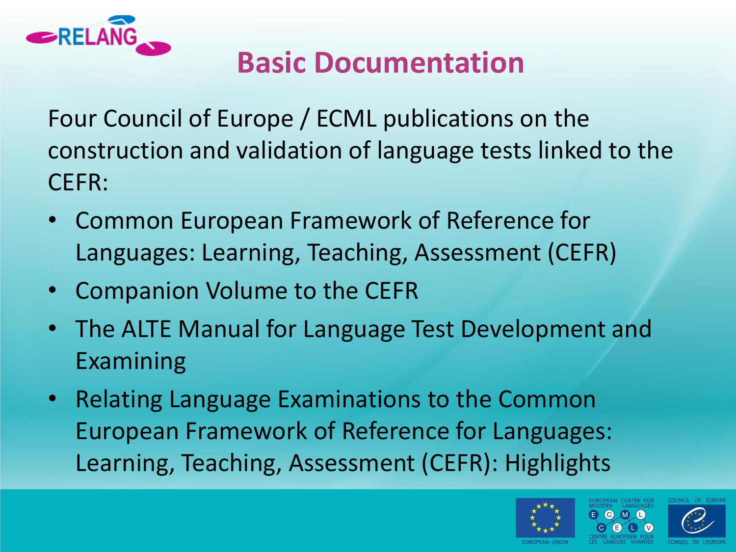

## **Basic Documentation**

Four Council of Europe / ECML publications on the construction and validation of language tests linked to the CEFR:

- Common European Framework of Reference for Languages: Learning, Teaching, Assessment (CEFR)
- Companion Volume to the CEFR
- The ALTE Manual for Language Test Development and Examining
- Relating Language Examinations to the Common European Framework of Reference for Languages: Learning, Teaching, Assessment (CEFR): Highlights



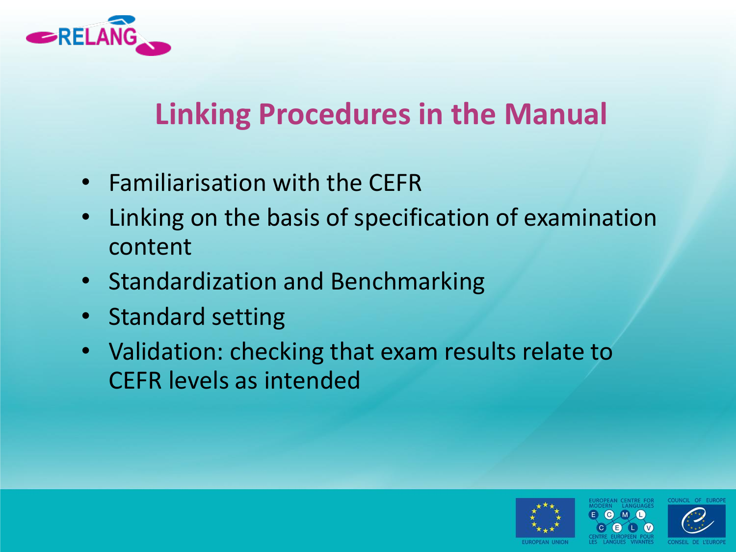

## **Linking Procedures in the Manual**

- Familiarisation with the CEFR
- Linking on the basis of specification of examination content
- Standardization and Benchmarking
- Standard setting
- Validation: checking that exam results relate to CEFR levels as intended



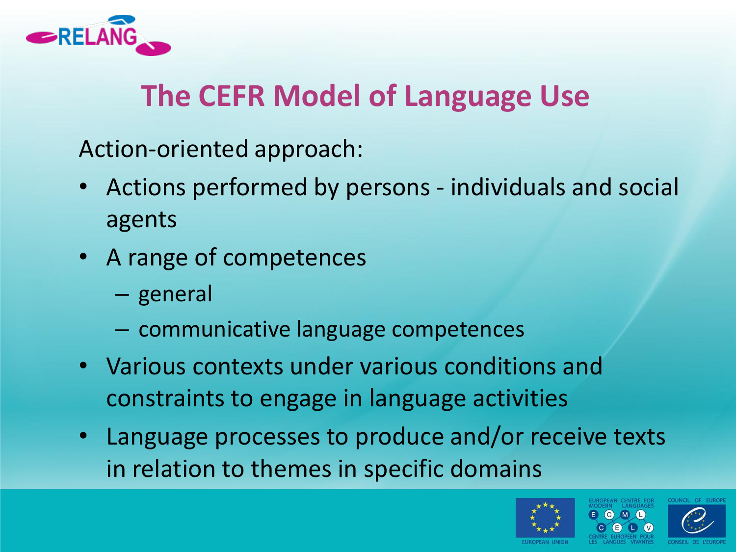

## **The CEFR Model of Language Use**

Action-oriented approach:

- Actions performed by persons individuals and social agents
- A range of competences
	- general
	- communicative language competences
- Various contexts under various conditions and constraints to engage in language activities
- Language processes to produce and/or receive texts in relation to themes in specific domains



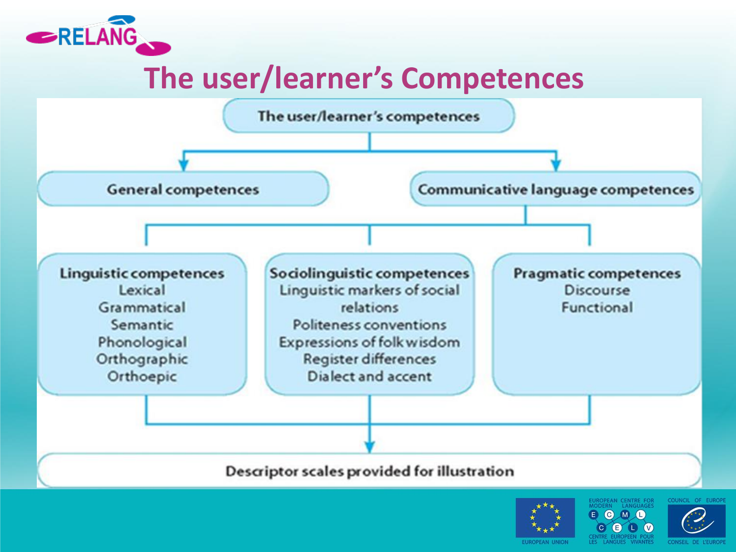

### **The user/learner's Competences**







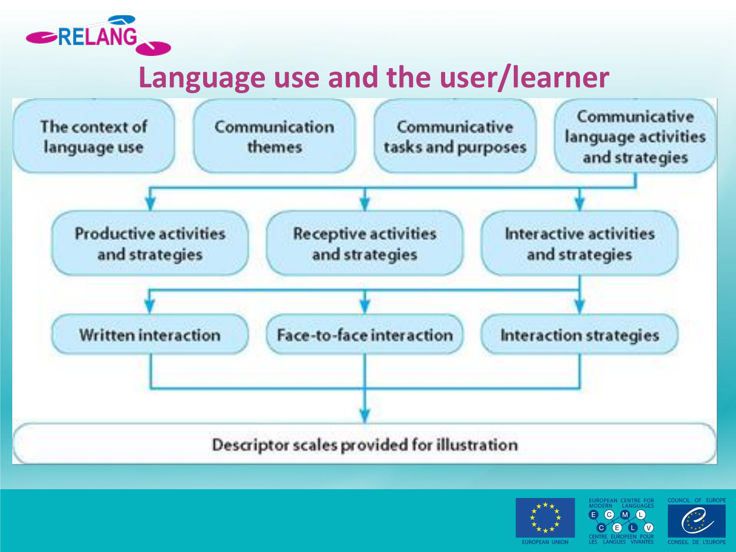

#### **Language use and the user/learner**



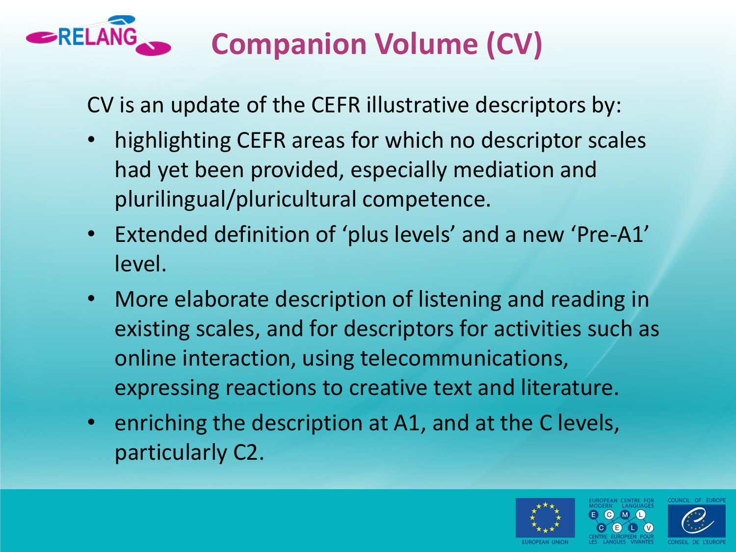

# **Companion Volume (CV)**

CV is an update of the CEFR illustrative descriptors by:

- highlighting CEFR areas for which no descriptor scales had yet been provided, especially mediation and plurilingual/pluricultural competence.
- Extended definition of 'plus levels' and a new 'Pre-A1' level.
- More elaborate description of listening and reading in existing scales, and for descriptors for activities such as online interaction, using telecommunications, expressing reactions to creative text and literature.
- enriching the description at A1, and at the C levels, particularly C2.

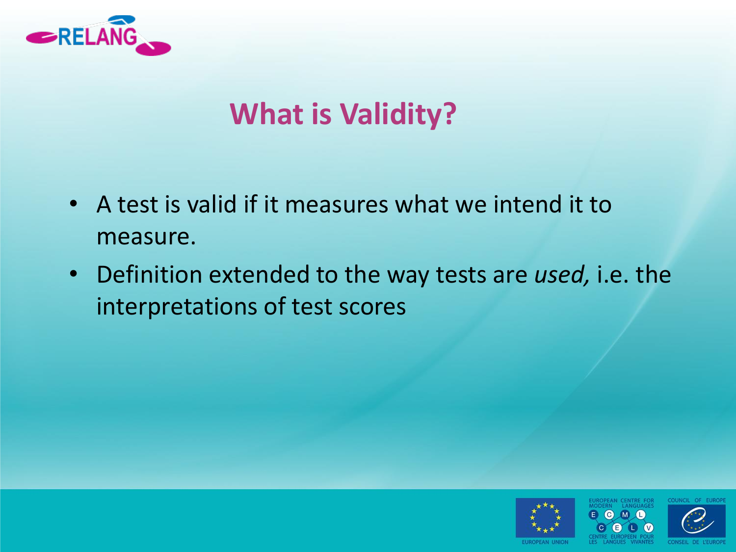

## **What is Validity?**

- A test is valid if it measures what we intend it to measure.
- Definition extended to the way tests are *used,* i.e. the interpretations of test scores



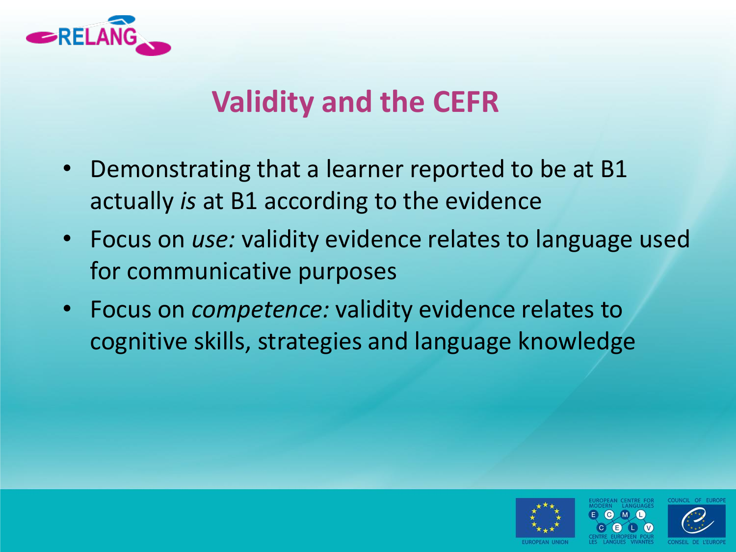

### **Validity and the CEFR**

- Demonstrating that a learner reported to be at B1 actually *is* at B1 according to the evidence
- Focus on *use:* validity evidence relates to language used for communicative purposes
- Focus on *competence:* validity evidence relates to cognitive skills, strategies and language knowledge



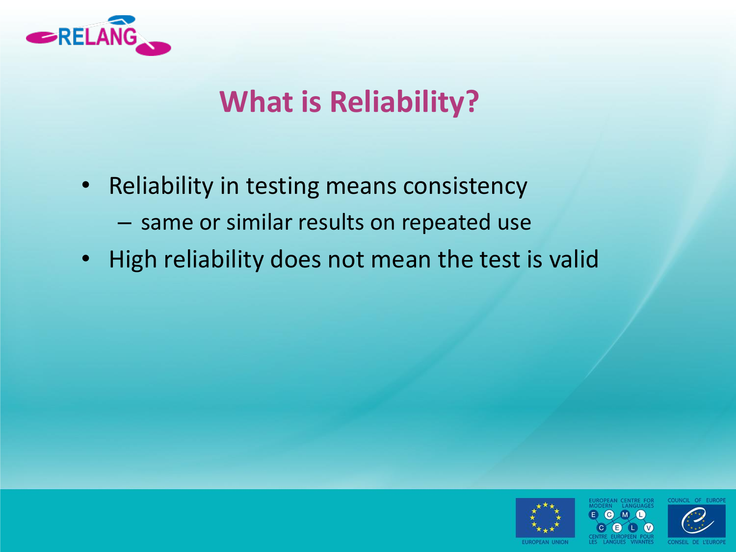

## **What is Reliability?**

- Reliability in testing means consistency
	- same or similar results on repeated use
- High reliability does not mean the test is valid





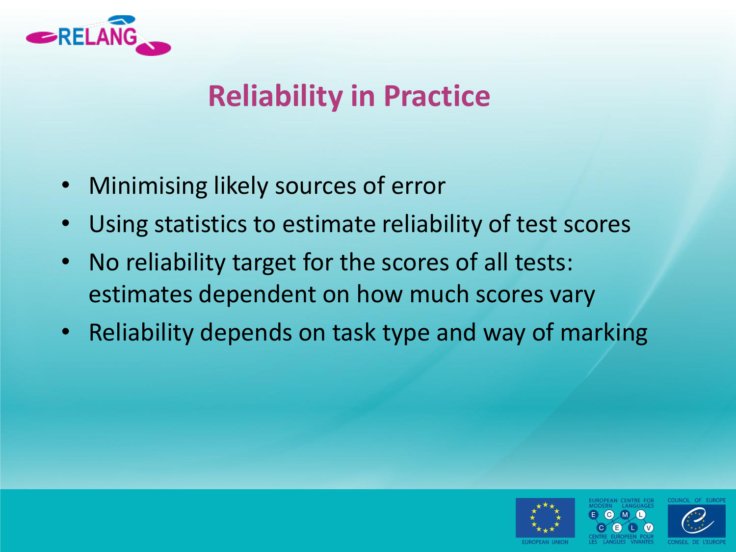

### **Reliability in Practice**

- Minimising likely sources of error
- Using statistics to estimate reliability of test scores
- No reliability target for the scores of all tests: estimates dependent on how much scores vary
- Reliability depends on task type and way of marking



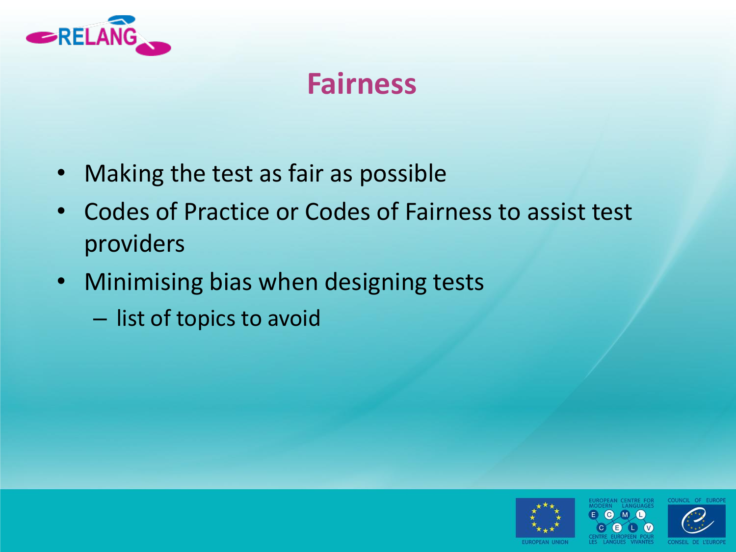

### **Fairness**

- Making the test as fair as possible
- Codes of Practice or Codes of Fairness to assist test providers
- Minimising bias when designing tests
	- list of topics to avoid